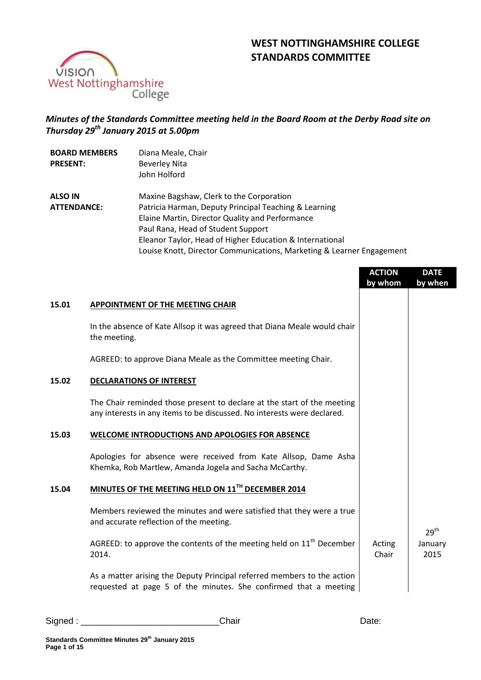



# *Minutes of the Standards Committee meeting held in the Board Room at the Derby Road site on Thursday 29th January 2015 at 5.00pm*

| <b>BOARD MEMBERS</b><br><b>PRESENT:</b> | Diana Meale, Chair<br><b>Beverley Nita</b><br>John Holford            |
|-----------------------------------------|-----------------------------------------------------------------------|
| <b>ALSO IN</b>                          | Maxine Bagshaw, Clerk to the Corporation                              |
| <b>ATTENDANCE:</b>                      | Patricia Harman, Deputy Principal Teaching & Learning                 |
|                                         | Elaine Martin, Director Quality and Performance                       |
|                                         | Paul Rana, Head of Student Support                                    |
|                                         | Eleanor Taylor, Head of Higher Education & International              |
|                                         | Louise Knott, Director Communications, Marketing & Learner Engagement |

|       |                                                                                                                                                    | <b>ACTION</b><br>by whom | <b>DATE</b><br>by when |
|-------|----------------------------------------------------------------------------------------------------------------------------------------------------|--------------------------|------------------------|
| 15.01 | <b>APPOINTMENT OF THE MEETING CHAIR</b>                                                                                                            |                          |                        |
|       | In the absence of Kate Allsop it was agreed that Diana Meale would chair<br>the meeting.                                                           |                          |                        |
|       | AGREED: to approve Diana Meale as the Committee meeting Chair.                                                                                     |                          |                        |
| 15.02 | <b>DECLARATIONS OF INTEREST</b>                                                                                                                    |                          |                        |
|       | The Chair reminded those present to declare at the start of the meeting<br>any interests in any items to be discussed. No interests were declared. |                          |                        |
| 15.03 | WELCOME INTRODUCTIONS AND APOLOGIES FOR ABSENCE                                                                                                    |                          |                        |
|       | Apologies for absence were received from Kate Allsop, Dame Asha<br>Khemka, Rob Martlew, Amanda Jogela and Sacha McCarthy.                          |                          |                        |
| 15.04 | MINUTES OF THE MEETING HELD ON 11TH DECEMBER 2014                                                                                                  |                          |                        |
|       | Members reviewed the minutes and were satisfied that they were a true<br>and accurate reflection of the meeting.                                   |                          | 29 <sup>th</sup>       |
|       | AGREED: to approve the contents of the meeting held on $11th$ December<br>2014.                                                                    | Acting<br>Chair          | January<br>2015        |
|       | As a matter arising the Deputy Principal referred members to the action<br>requested at page 5 of the minutes. She confirmed that a meeting        |                          |                        |
|       |                                                                                                                                                    |                          |                        |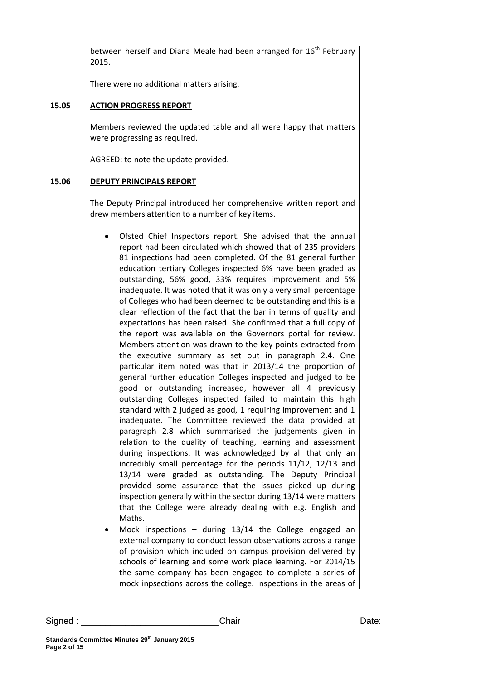between herself and Diana Meale had been arranged for  $16<sup>th</sup>$  February 2015.

There were no additional matters arising.

#### **15.05 ACTION PROGRESS REPORT**

Members reviewed the updated table and all were happy that matters were progressing as required.

AGREED: to note the update provided.

#### **15.06 DEPUTY PRINCIPALS REPORT**

The Deputy Principal introduced her comprehensive written report and drew members attention to a number of key items.

- Ofsted Chief Inspectors report. She advised that the annual report had been circulated which showed that of 235 providers 81 inspections had been completed. Of the 81 general further education tertiary Colleges inspected 6% have been graded as outstanding, 56% good, 33% requires improvement and 5% inadequate. It was noted that it was only a very small percentage of Colleges who had been deemed to be outstanding and this is a clear reflection of the fact that the bar in terms of quality and expectations has been raised. She confirmed that a full copy of the report was available on the Governors portal for review. Members attention was drawn to the key points extracted from the executive summary as set out in paragraph 2.4. One particular item noted was that in 2013/14 the proportion of general further education Colleges inspected and judged to be good or outstanding increased, however all 4 previously outstanding Colleges inspected failed to maintain this high standard with 2 judged as good, 1 requiring improvement and 1 inadequate. The Committee reviewed the data provided at paragraph 2.8 which summarised the judgements given in relation to the quality of teaching, learning and assessment during inspections. It was acknowledged by all that only an incredibly small percentage for the periods 11/12, 12/13 and 13/14 were graded as outstanding. The Deputy Principal provided some assurance that the issues picked up during inspection generally within the sector during 13/14 were matters that the College were already dealing with e.g. English and Maths.
- Mock inspections  $-$  during 13/14 the College engaged an external company to conduct lesson observations across a range of provision which included on campus provision delivered by schools of learning and some work place learning. For 2014/15 the same company has been engaged to complete a series of mock inpsections across the college. Inspections in the areas of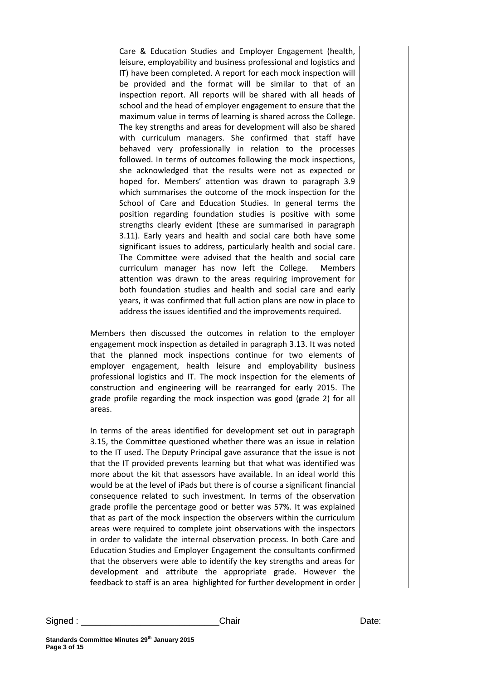Care & Education Studies and Employer Engagement (health, leisure, employability and business professional and logistics and IT) have been completed. A report for each mock inspection will be provided and the format will be similar to that of an inspection report. All reports will be shared with all heads of school and the head of employer engagement to ensure that the maximum value in terms of learning is shared across the College. The key strengths and areas for development will also be shared with curriculum managers. She confirmed that staff have behaved very professionally in relation to the processes followed. In terms of outcomes following the mock inspections, she acknowledged that the results were not as expected or hoped for. Members' attention was drawn to paragraph 3.9 which summarises the outcome of the mock inspection for the School of Care and Education Studies. In general terms the position regarding foundation studies is positive with some strengths clearly evident (these are summarised in paragraph 3.11). Early years and health and social care both have some significant issues to address, particularly health and social care. The Committee were advised that the health and social care curriculum manager has now left the College. Members attention was drawn to the areas requiring improvement for both foundation studies and health and social care and early years, it was confirmed that full action plans are now in place to address the issues identified and the improvements required.

Members then discussed the outcomes in relation to the employer engagement mock inspection as detailed in paragraph 3.13. It was noted that the planned mock inspections continue for two elements of employer engagement, health leisure and employability business professional logistics and IT. The mock inspection for the elements of construction and engineering will be rearranged for early 2015. The grade profile regarding the mock inspection was good (grade 2) for all areas.

In terms of the areas identified for development set out in paragraph 3.15, the Committee questioned whether there was an issue in relation to the IT used. The Deputy Principal gave assurance that the issue is not that the IT provided prevents learning but that what was identified was more about the kit that assessors have available. In an ideal world this would be at the level of iPads but there is of course a significant financial consequence related to such investment. In terms of the observation grade profile the percentage good or better was 57%. It was explained that as part of the mock inspection the observers within the curriculum areas were required to complete joint observations with the inspectors in order to validate the internal observation process. In both Care and Education Studies and Employer Engagement the consultants confirmed that the observers were able to identify the key strengths and areas for development and attribute the appropriate grade. However the feedback to staff is an area highlighted for further development in order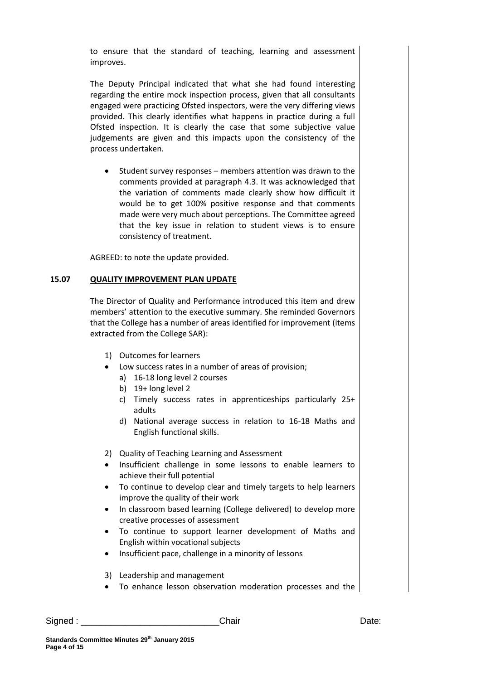to ensure that the standard of teaching, learning and assessment improves.

The Deputy Principal indicated that what she had found interesting regarding the entire mock inspection process, given that all consultants engaged were practicing Ofsted inspectors, were the very differing views provided. This clearly identifies what happens in practice during a full Ofsted inspection. It is clearly the case that some subjective value judgements are given and this impacts upon the consistency of the process undertaken.

 Student survey responses – members attention was drawn to the comments provided at paragraph 4.3. It was acknowledged that the variation of comments made clearly show how difficult it would be to get 100% positive response and that comments made were very much about perceptions. The Committee agreed that the key issue in relation to student views is to ensure consistency of treatment.

AGREED: to note the update provided.

### **15.07 QUALITY IMPROVEMENT PLAN UPDATE**

The Director of Quality and Performance introduced this item and drew members' attention to the executive summary. She reminded Governors that the College has a number of areas identified for improvement (items extracted from the College SAR):

- 1) Outcomes for learners
	- Low success rates in a number of areas of provision;
		- a) 16-18 long level 2 courses
		- b) 19+ long level 2
		- c) Timely success rates in apprenticeships particularly 25+ adults
		- d) National average success in relation to 16-18 Maths and English functional skills.

2) Quality of Teaching Learning and Assessment

- Insufficient challenge in some lessons to enable learners to achieve their full potential
- To continue to develop clear and timely targets to help learners improve the quality of their work
- In classroom based learning (College delivered) to develop more creative processes of assessment
- To continue to support learner development of Maths and English within vocational subjects
- Insufficient pace, challenge in a minority of lessons
- 3) Leadership and management
- To enhance lesson observation moderation processes and the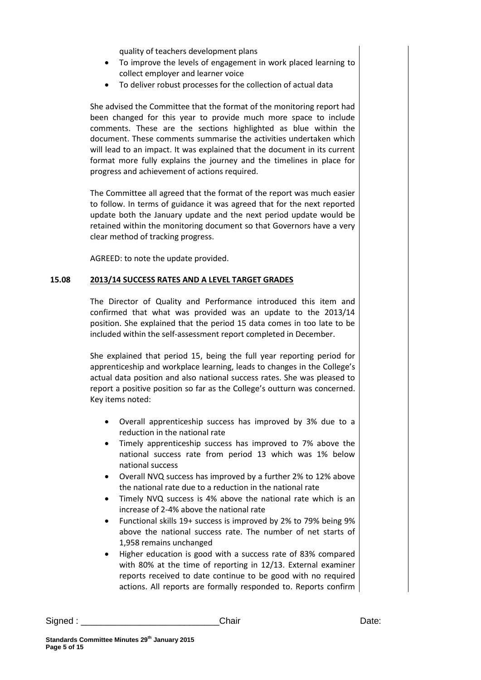quality of teachers development plans

- To improve the levels of engagement in work placed learning to collect employer and learner voice
- To deliver robust processes for the collection of actual data

She advised the Committee that the format of the monitoring report had been changed for this year to provide much more space to include comments. These are the sections highlighted as blue within the document. These comments summarise the activities undertaken which will lead to an impact. It was explained that the document in its current format more fully explains the journey and the timelines in place for progress and achievement of actions required.

The Committee all agreed that the format of the report was much easier to follow. In terms of guidance it was agreed that for the next reported update both the January update and the next period update would be retained within the monitoring document so that Governors have a very clear method of tracking progress.

AGREED: to note the update provided.

### **15.08 2013/14 SUCCESS RATES AND A LEVEL TARGET GRADES**

The Director of Quality and Performance introduced this item and confirmed that what was provided was an update to the 2013/14 position. She explained that the period 15 data comes in too late to be included within the self-assessment report completed in December.

She explained that period 15, being the full year reporting period for apprenticeship and workplace learning, leads to changes in the College's actual data position and also national success rates. She was pleased to report a positive position so far as the College's outturn was concerned. Key items noted:

- Overall apprenticeship success has improved by 3% due to a reduction in the national rate
- Timely apprenticeship success has improved to 7% above the national success rate from period 13 which was 1% below national success
- Overall NVQ success has improved by a further 2% to 12% above the national rate due to a reduction in the national rate
- Timely NVQ success is 4% above the national rate which is an increase of 2-4% above the national rate
- Functional skills 19+ success is improved by 2% to 79% being 9% above the national success rate. The number of net starts of 1,958 remains unchanged
- Higher education is good with a success rate of 83% compared with 80% at the time of reporting in 12/13. External examiner reports received to date continue to be good with no required actions. All reports are formally responded to. Reports confirm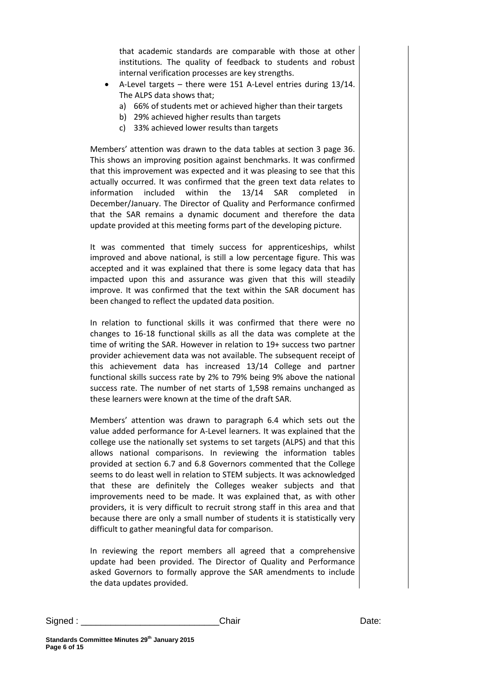that academic standards are comparable with those at other institutions. The quality of feedback to students and robust internal verification processes are key strengths.

- A-Level targets there were 151 A-Level entries during 13/14. The ALPS data shows that;
	- a) 66% of students met or achieved higher than their targets
	- b) 29% achieved higher results than targets
	- c) 33% achieved lower results than targets

Members' attention was drawn to the data tables at section 3 page 36. This shows an improving position against benchmarks. It was confirmed that this improvement was expected and it was pleasing to see that this actually occurred. It was confirmed that the green text data relates to information included within the 13/14 SAR completed in December/January. The Director of Quality and Performance confirmed that the SAR remains a dynamic document and therefore the data update provided at this meeting forms part of the developing picture.

It was commented that timely success for apprenticeships, whilst improved and above national, is still a low percentage figure. This was accepted and it was explained that there is some legacy data that has impacted upon this and assurance was given that this will steadily improve. It was confirmed that the text within the SAR document has been changed to reflect the updated data position.

In relation to functional skills it was confirmed that there were no changes to 16-18 functional skills as all the data was complete at the time of writing the SAR. However in relation to 19+ success two partner provider achievement data was not available. The subsequent receipt of this achievement data has increased 13/14 College and partner functional skills success rate by 2% to 79% being 9% above the national success rate. The number of net starts of 1,598 remains unchanged as these learners were known at the time of the draft SAR.

Members' attention was drawn to paragraph 6.4 which sets out the value added performance for A-Level learners. It was explained that the college use the nationally set systems to set targets (ALPS) and that this allows national comparisons. In reviewing the information tables provided at section 6.7 and 6.8 Governors commented that the College seems to do least well in relation to STEM subjects. It was acknowledged that these are definitely the Colleges weaker subjects and that improvements need to be made. It was explained that, as with other providers, it is very difficult to recruit strong staff in this area and that because there are only a small number of students it is statistically very difficult to gather meaningful data for comparison.

In reviewing the report members all agreed that a comprehensive update had been provided. The Director of Quality and Performance asked Governors to formally approve the SAR amendments to include the data updates provided.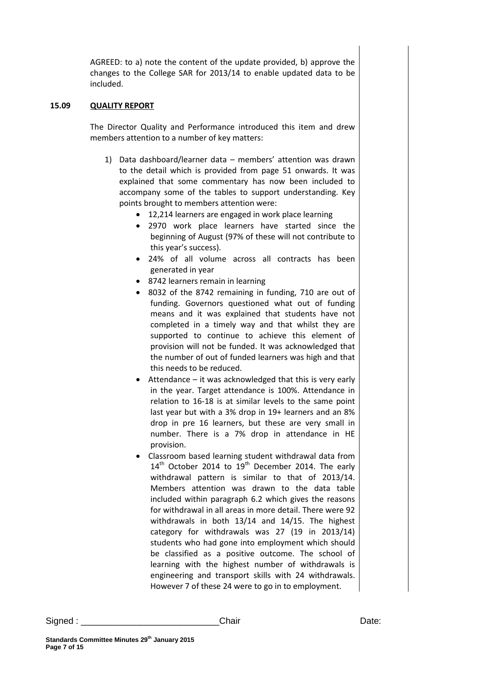AGREED: to a) note the content of the update provided, b) approve the changes to the College SAR for 2013/14 to enable updated data to be included.

### **15.09 QUALITY REPORT**

The Director Quality and Performance introduced this item and drew members attention to a number of key matters:

- 1) Data dashboard/learner data members' attention was drawn to the detail which is provided from page 51 onwards. It was explained that some commentary has now been included to accompany some of the tables to support understanding. Key points brought to members attention were:
	- 12,214 learners are engaged in work place learning
	- 2970 work place learners have started since the beginning of August (97% of these will not contribute to this year's success).
	- 24% of all volume across all contracts has been generated in year
	- 8742 learners remain in learning
	- 8032 of the 8742 remaining in funding, 710 are out of funding. Governors questioned what out of funding means and it was explained that students have not completed in a timely way and that whilst they are supported to continue to achieve this element of provision will not be funded. It was acknowledged that the number of out of funded learners was high and that this needs to be reduced.
	- Attendance it was acknowledged that this is very early in the year. Target attendance is 100%. Attendance in relation to 16-18 is at similar levels to the same point last year but with a 3% drop in 19+ learners and an 8% drop in pre 16 learners, but these are very small in number. There is a 7% drop in attendance in HE provision.
	- Classroom based learning student withdrawal data from  $14<sup>th</sup>$  October 2014 to  $19<sup>th</sup>$  December 2014. The early withdrawal pattern is similar to that of 2013/14. Members attention was drawn to the data table included within paragraph 6.2 which gives the reasons for withdrawal in all areas in more detail. There were 92 withdrawals in both 13/14 and 14/15. The highest category for withdrawals was 27 (19 in 2013/14) students who had gone into employment which should be classified as a positive outcome. The school of learning with the highest number of withdrawals is engineering and transport skills with 24 withdrawals. However 7 of these 24 were to go in to employment.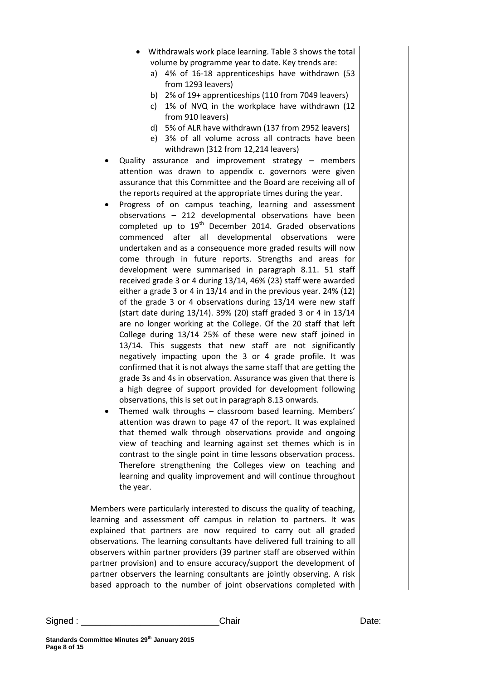- Withdrawals work place learning. Table 3 shows the total volume by programme year to date. Key trends are:
	- a) 4% of 16-18 apprenticeships have withdrawn (53 from 1293 leavers)
	- b) 2% of 19+ apprenticeships (110 from 7049 leavers)
	- c) 1% of NVQ in the workplace have withdrawn (12 from 910 leavers)
	- d) 5% of ALR have withdrawn (137 from 2952 leavers)
	- e) 3% of all volume across all contracts have been withdrawn (312 from 12,214 leavers)
- Quality assurance and improvement strategy members attention was drawn to appendix c. governors were given assurance that this Committee and the Board are receiving all of the reports required at the appropriate times during the year.
- Progress of on campus teaching, learning and assessment observations – 212 developmental observations have been completed up to 19<sup>th</sup> December 2014. Graded observations commenced after all developmental observations were undertaken and as a consequence more graded results will now come through in future reports. Strengths and areas for development were summarised in paragraph 8.11. 51 staff received grade 3 or 4 during 13/14, 46% (23) staff were awarded either a grade 3 or 4 in 13/14 and in the previous year. 24% (12) of the grade 3 or 4 observations during 13/14 were new staff (start date during 13/14). 39% (20) staff graded 3 or 4 in 13/14 are no longer working at the College. Of the 20 staff that left College during 13/14 25% of these were new staff joined in 13/14. This suggests that new staff are not significantly negatively impacting upon the 3 or 4 grade profile. It was confirmed that it is not always the same staff that are getting the grade 3s and 4s in observation. Assurance was given that there is a high degree of support provided for development following observations, this is set out in paragraph 8.13 onwards.
- Themed walk throughs classroom based learning. Members' attention was drawn to page 47 of the report. It was explained that themed walk through observations provide and ongoing view of teaching and learning against set themes which is in contrast to the single point in time lessons observation process. Therefore strengthening the Colleges view on teaching and learning and quality improvement and will continue throughout the year.

Members were particularly interested to discuss the quality of teaching, learning and assessment off campus in relation to partners. It was explained that partners are now required to carry out all graded observations. The learning consultants have delivered full training to all observers within partner providers (39 partner staff are observed within partner provision) and to ensure accuracy/support the development of partner observers the learning consultants are jointly observing. A risk based approach to the number of joint observations completed with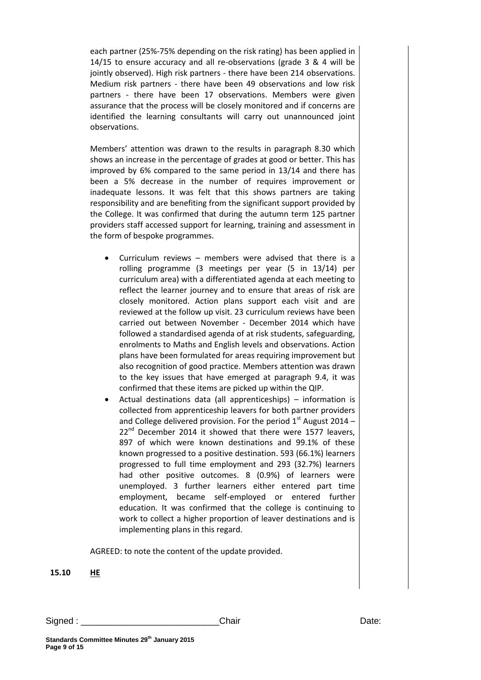each partner (25%-75% depending on the risk rating) has been applied in 14/15 to ensure accuracy and all re-observations (grade 3 & 4 will be jointly observed). High risk partners - there have been 214 observations. Medium risk partners - there have been 49 observations and low risk partners - there have been 17 observations. Members were given assurance that the process will be closely monitored and if concerns are identified the learning consultants will carry out unannounced joint observations.

Members' attention was drawn to the results in paragraph 8.30 which shows an increase in the percentage of grades at good or better. This has improved by 6% compared to the same period in 13/14 and there has been a 5% decrease in the number of requires improvement or inadequate lessons. It was felt that this shows partners are taking responsibility and are benefiting from the significant support provided by the College. It was confirmed that during the autumn term 125 partner providers staff accessed support for learning, training and assessment in the form of bespoke programmes.

- Curriculum reviews members were advised that there is a rolling programme (3 meetings per year (5 in 13/14) per curriculum area) with a differentiated agenda at each meeting to reflect the learner journey and to ensure that areas of risk are closely monitored. Action plans support each visit and are reviewed at the follow up visit. 23 curriculum reviews have been carried out between November - December 2014 which have followed a standardised agenda of at risk students, safeguarding, enrolments to Maths and English levels and observations. Action plans have been formulated for areas requiring improvement but also recognition of good practice. Members attention was drawn to the key issues that have emerged at paragraph 9.4, it was confirmed that these items are picked up within the QIP.
- Actual destinations data (all apprenticeships) information is collected from apprenticeship leavers for both partner providers and College delivered provision. For the period  $1<sup>st</sup>$  August 2014 –  $22^{nd}$  December 2014 it showed that there were 1577 leavers, 897 of which were known destinations and 99.1% of these known progressed to a positive destination. 593 (66.1%) learners progressed to full time employment and 293 (32.7%) learners had other positive outcomes. 8 (0.9%) of learners were unemployed. 3 further learners either entered part time employment, became self-employed or entered further education. It was confirmed that the college is continuing to work to collect a higher proportion of leaver destinations and is implementing plans in this regard.

AGREED: to note the content of the update provided.

**15.10 HE**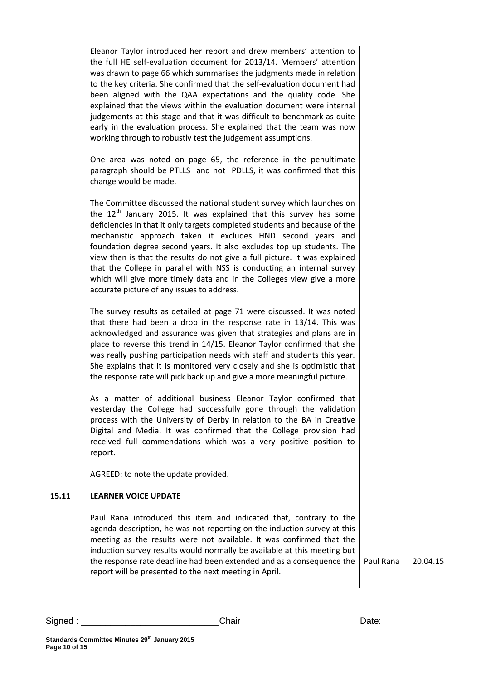Eleanor Taylor introduced her report and drew members' attention to the full HE self-evaluation document for 2013/14. Members' attention was drawn to page 66 which summarises the judgments made in relation to the key criteria. She confirmed that the self-evaluation document had been aligned with the QAA expectations and the quality code. She explained that the views within the evaluation document were internal judgements at this stage and that it was difficult to benchmark as quite early in the evaluation process. She explained that the team was now working through to robustly test the judgement assumptions.

One area was noted on page 65, the reference in the penultimate paragraph should be PTLLS and not PDLLS, it was confirmed that this change would be made.

The Committee discussed the national student survey which launches on the  $12<sup>th</sup>$  January 2015. It was explained that this survey has some deficiencies in that it only targets completed students and because of the mechanistic approach taken it excludes HND second years and foundation degree second years. It also excludes top up students. The view then is that the results do not give a full picture. It was explained that the College in parallel with NSS is conducting an internal survey which will give more timely data and in the Colleges view give a more accurate picture of any issues to address.

The survey results as detailed at page 71 were discussed. It was noted that there had been a drop in the response rate in 13/14. This was acknowledged and assurance was given that strategies and plans are in place to reverse this trend in 14/15. Eleanor Taylor confirmed that she was really pushing participation needs with staff and students this year. She explains that it is monitored very closely and she is optimistic that the response rate will pick back up and give a more meaningful picture.

As a matter of additional business Eleanor Taylor confirmed that yesterday the College had successfully gone through the validation process with the University of Derby in relation to the BA in Creative Digital and Media. It was confirmed that the College provision had received full commendations which was a very positive position to report.

AGREED: to note the update provided.

# **15.11 LEARNER VOICE UPDATE**

Paul Rana introduced this item and indicated that, contrary to the agenda description, he was not reporting on the induction survey at this meeting as the results were not available. It was confirmed that the induction survey results would normally be available at this meeting but the response rate deadline had been extended and as a consequence the report will be presented to the next meeting in April.

Paul Rana 20.04.15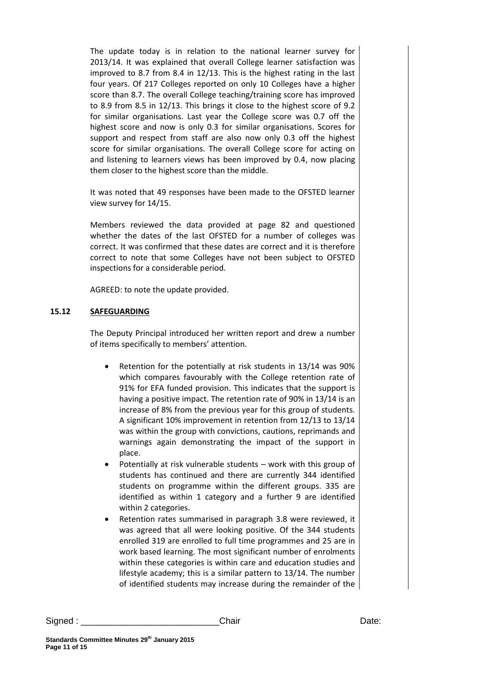The update today is in relation to the national learner survey for 2013/14. It was explained that overall College learner satisfaction was improved to 8.7 from 8.4 in 12/13. This is the highest rating in the last four years. Of 217 Colleges reported on only 10 Colleges have a higher score than 8.7. The overall College teaching/training score has improved to 8.9 from 8.5 in 12/13. This brings it close to the highest score of 9.2 for similar organisations. Last year the College score was 0.7 off the highest score and now is only 0.3 for similar organisations. Scores for support and respect from staff are also now only 0.3 off the highest score for similar organisations. The overall College score for acting on and listening to learners views has been improved by 0.4, now placing them closer to the highest score than the middle.

It was noted that 49 responses have been made to the OFSTED learner view survey for 14/15.

Members reviewed the data provided at page 82 and questioned whether the dates of the last OFSTED for a number of colleges was correct. It was confirmed that these dates are correct and it is therefore correct to note that some Colleges have not been subject to OFSTED inspections for a considerable period.

AGREED: to note the update provided.

# **15.12 SAFEGUARDING**

The Deputy Principal introduced her written report and drew a number of items specifically to members' attention.

- Retention for the potentially at risk students in 13/14 was 90% which compares favourably with the College retention rate of 91% for EFA funded provision. This indicates that the support is having a positive impact. The retention rate of 90% in 13/14 is an increase of 8% from the previous year for this group of students. A significant 10% improvement in retention from 12/13 to 13/14 was within the group with convictions, cautions, reprimands and warnings again demonstrating the impact of the support in place.
- Potentially at risk vulnerable students work with this group of students has continued and there are currently 344 identified students on programme within the different groups. 335 are identified as within 1 category and a further 9 are identified within 2 categories.
- Retention rates summarised in paragraph 3.8 were reviewed, it was agreed that all were looking positive. Of the 344 students enrolled 319 are enrolled to full time programmes and 25 are in work based learning. The most significant number of enrolments within these categories is within care and education studies and lifestyle academy; this is a similar pattern to 13/14. The number of identified students may increase during the remainder of the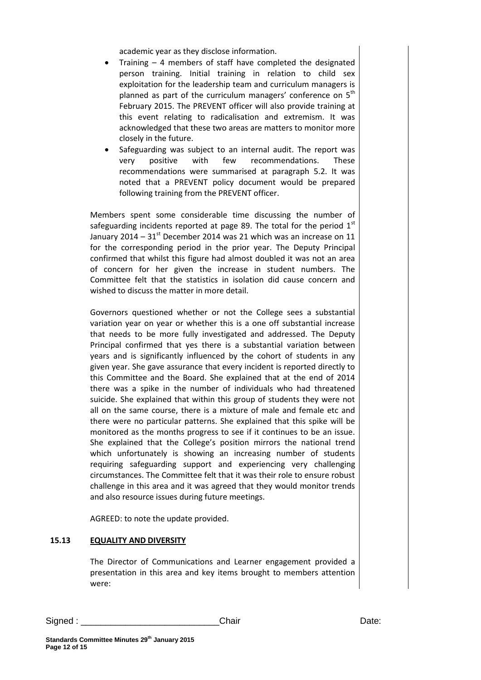academic year as they disclose information.

- Training 4 members of staff have completed the designated person training. Initial training in relation to child sex exploitation for the leadership team and curriculum managers is planned as part of the curriculum managers' conference on  $5<sup>th</sup>$ February 2015. The PREVENT officer will also provide training at this event relating to radicalisation and extremism. It was acknowledged that these two areas are matters to monitor more closely in the future.
- Safeguarding was subject to an internal audit. The report was very positive with few recommendations. These recommendations were summarised at paragraph 5.2. It was noted that a PREVENT policy document would be prepared following training from the PREVENT officer.

Members spent some considerable time discussing the number of safeguarding incidents reported at page 89. The total for the period  $1<sup>st</sup>$ January 2014 –  $31<sup>st</sup>$  December 2014 was 21 which was an increase on 11 for the corresponding period in the prior year. The Deputy Principal confirmed that whilst this figure had almost doubled it was not an area of concern for her given the increase in student numbers. The Committee felt that the statistics in isolation did cause concern and wished to discuss the matter in more detail.

Governors questioned whether or not the College sees a substantial variation year on year or whether this is a one off substantial increase that needs to be more fully investigated and addressed. The Deputy Principal confirmed that yes there is a substantial variation between years and is significantly influenced by the cohort of students in any given year. She gave assurance that every incident is reported directly to this Committee and the Board. She explained that at the end of 2014 there was a spike in the number of individuals who had threatened suicide. She explained that within this group of students they were not all on the same course, there is a mixture of male and female etc and there were no particular patterns. She explained that this spike will be monitored as the months progress to see if it continues to be an issue. She explained that the College's position mirrors the national trend which unfortunately is showing an increasing number of students requiring safeguarding support and experiencing very challenging circumstances. The Committee felt that it was their role to ensure robust challenge in this area and it was agreed that they would monitor trends and also resource issues during future meetings.

AGREED: to note the update provided.

### **15.13 EQUALITY AND DIVERSITY**

The Director of Communications and Learner engagement provided a presentation in this area and key items brought to members attention were: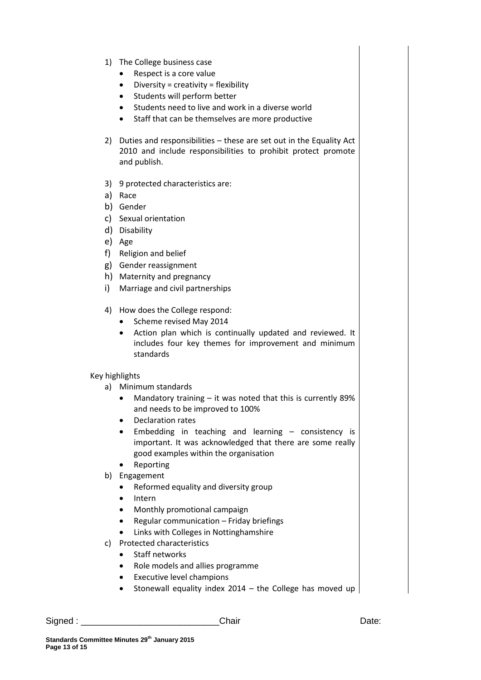- 1) The College business case
	- Respect is a core value
	- $\bullet$  Diversity = creativity = flexibility
	- Students will perform better
	- Students need to live and work in a diverse world
	- Staff that can be themselves are more productive
- 2) Duties and responsibilities these are set out in the Equality Act 2010 and include responsibilities to prohibit protect promote and publish.
- 3) 9 protected characteristics are:
- a) Race
- b) Gender
- c) Sexual orientation
- d) Disability
- e) Age
- f) Religion and belief
- g) Gender reassignment
- h) Maternity and pregnancy
- i) Marriage and civil partnerships
- 4) How does the College respond:
	- Scheme revised May 2014
	- Action plan which is continually updated and reviewed. It includes four key themes for improvement and minimum standards

# Key highlights

- a) Minimum standards
	- Mandatory training it was noted that this is currently 89% and needs to be improved to 100%
	- Declaration rates
	- Embedding in teaching and learning consistency is important. It was acknowledged that there are some really good examples within the organisation
	- Reporting
- b) Engagement
	- Reformed equality and diversity group
	- Intern
	- Monthly promotional campaign
	- Regular communication Friday briefings
	- Links with Colleges in Nottinghamshire
- c) Protected characteristics
	- Staff networks
	- Role models and allies programme
	- Executive level champions
	- Stonewall equality index 2014 the College has moved up

Signed : \_\_\_\_\_\_\_\_\_\_\_\_\_\_\_\_\_\_\_\_\_\_\_\_\_\_\_\_Chair Date: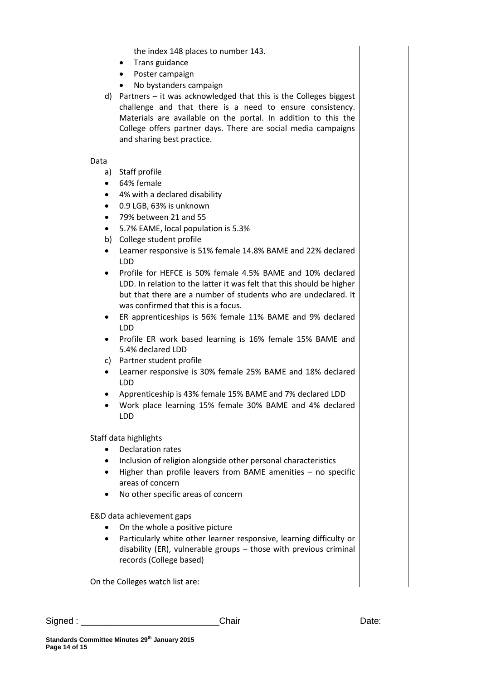the index 148 places to number 143.

- Trans guidance
- Poster campaign
- No bystanders campaign
- d) Partners it was acknowledged that this is the Colleges biggest challenge and that there is a need to ensure consistency. Materials are available on the portal. In addition to this the College offers partner days. There are social media campaigns and sharing best practice.

#### Data

- a) Staff profile
- 64% female
- 4% with a declared disability
- 0.9 LGB, 63% is unknown
- 79% between 21 and 55
- 5.7% EAME, local population is 5.3%
- b) College student profile
- Learner responsive is 51% female 14.8% BAME and 22% declared LDD
- Profile for HEFCE is 50% female 4.5% BAME and 10% declared LDD. In relation to the latter it was felt that this should be higher but that there are a number of students who are undeclared. It was confirmed that this is a focus.
- ER apprenticeships is 56% female 11% BAME and 9% declared LDD
- Profile ER work based learning is 16% female 15% BAME and 5.4% declared LDD
- c) Partner student profile
- Learner responsive is 30% female 25% BAME and 18% declared LDD
- Apprenticeship is 43% female 15% BAME and 7% declared LDD
- Work place learning 15% female 30% BAME and 4% declared LDD

Staff data highlights

- Declaration rates
- Inclusion of religion alongside other personal characteristics
- Higher than profile leavers from BAME amenities no specific areas of concern
- No other specific areas of concern

E&D data achievement gaps

- On the whole a positive picture
- Particularly white other learner responsive, learning difficulty or disability (ER), vulnerable groups – those with previous criminal records (College based)

On the Colleges watch list are: